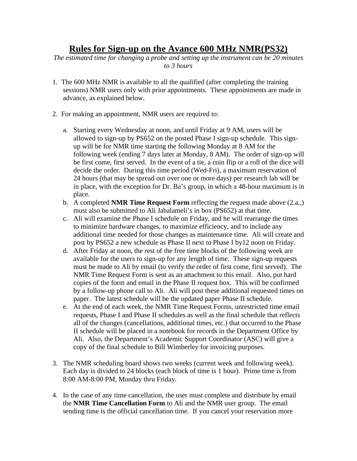## **Rules for Sign-up on the Avance 600 MHz NMR(PS32)**

*The estimated time for changing a probe and setting up the instrument can be 20 minutes to 3 hours* 

- 1. The 600 MHz NMR is available to all the qualified (after completing the training sessions) NMR users only with prior appointments. These appointments are made in advance, as explained below.
- 2. For making an appointment, NMR users are required to:
	- a. Starting every Wednesday at noon, and until Friday at 9 AM, users will be allowed to sign-up by PS652 on the posted Phase I sign-up schedule. This signup will be for NMR time starting the following Monday at 8 AM for the following week (ending 7 days later at Monday, 8 AM). The order of sign-up will be first come, first served. In the event of a tie, a coin flip or a roll of the dice will decide the order. During this time period (Wed-Fri), a maximum reservation of 24 hours (that may be spread out over one or more days) per research lab will be in place, with the exception for Dr. Ba's group, in which a 48-hour maximum is in place.
	- b. A completed **NMR Time Request Form** reflecting the request made above (2.a.,) must also be submitted to Ali Jabalameli's in box (PS652) at that time.
	- c. Ali will examine the Phase I schedule on Friday, and he will rearrange the times to minimize hardware changes, to maximize efficiency, and to include any additional time needed for those changes as maintenance time. Ali will create and post by PS652 a new schedule as Phase II next to Phase I by12 noon on Friday.
	- d. After Friday at noon, the rest of the free time blocks of the following week are available for the users to sign-up for any length of time. These sign-up requests must be made to Ali by email (to verify the order of first come, first served).The NMR Time Request Form is sent as an attachment to this email. Also, put hard copies of the form and email in the Phase II request box. This will be confirmed by a follow-up phone call to Ali. Ali will post these additional requested times on paper. The latest schedule will be the updated paper Phase II schedule.
	- e. At the end of each week, the NMR Time Request Forms, unrestricted time email requests, Phase I and Phase II schedules as well as the final schedule that reflects all of the changes (cancellations, additional times, etc.) that occurred to the Phase II schedule will be placed in a notebook for records in the Department Office by Ali. Also, the Department's Academic Support Coordinator (ASC) will give a copy of the final schedule to Bill Wimberley for invoicing purposes.
- 3. The NMR scheduling board shows two weeks (current week and following week). Each day is divided to 24 blocks (each block of time is 1 hour). Prime time is from 8:00 AM-8:00 PM, Monday thru Friday.
- 4. In the case of any time cancellation, the user must complete and distribute by email the **NMR Time Cancellation Form** to Ali and the NMR user group. The email sending time is the official cancellation time. If you cancel your reservation more